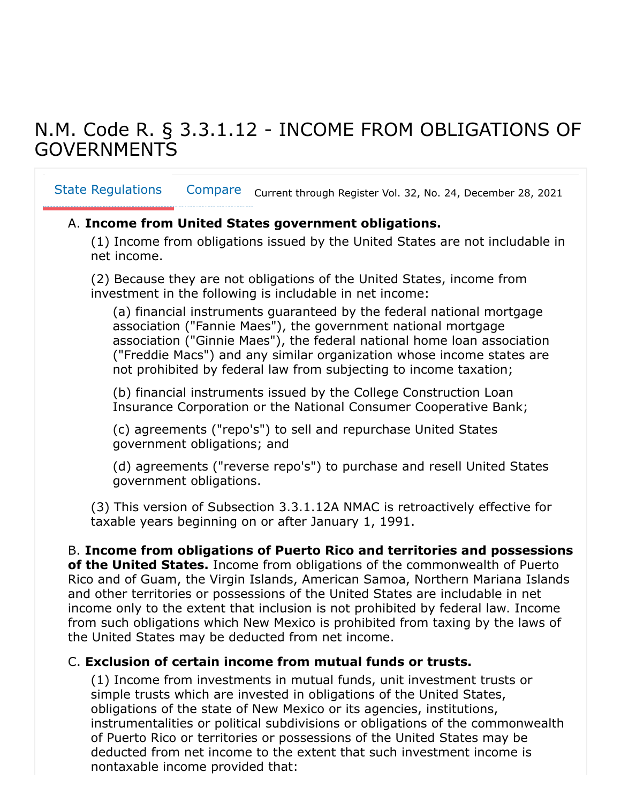# N.M. Code R. § 3.3.1.12 - INCOME FROM OBLIGATIONS OF GOVERNMENTS

<span id="page-0-0"></span>Compare Current through Register Vol. 32, No. 24, December 28, 2021 [State Regulations](#page-0-0)

### A. **Income from United States government obligations.**

(1) Income from obligations issued by the United States are not includable in net income.

(2) Because they are not obligations of the United States, income from investment in the following is includable in net income:

(a) financial instruments guaranteed by the federal national mortgage association ("Fannie Maes"), the government national mortgage association ("Ginnie Maes"), the federal national home loan association ("Freddie Macs") and any similar organization whose income states are not prohibited by federal law from subjecting to income taxation;

(b) financial instruments issued by the College Construction Loan Insurance Corporation or the National Consumer Cooperative Bank;

(c) agreements ("repo's") to sell and repurchase United States government obligations; and

(d) agreements ("reverse repo's") to purchase and resell United States government obligations.

(3) This version of Subsection 3.3.1.12A NMAC is retroactively effective for taxable years beginning on or after January 1, 1991.

#### B. **Income from obligations of Puerto Rico and territories and possessions**

**of the United States.** Income from obligations of the commonwealth of Puerto Rico and of Guam, the Virgin Islands, American Samoa, Northern Mariana Islands and other territories or possessions of the United States are includable in net income only to the extent that inclusion is not prohibited by federal law. Income from such obligations which New Mexico is prohibited from taxing by the laws of the United States may be deducted from net income.

#### C. **Exclusion of certain income from mutual funds or trusts.**

(1) Income from investments in mutual funds, unit investment trusts or simple trusts which are invested in obligations of the United States, obligations of the state of New Mexico or its agencies, institutions, instrumentalities or political subdivisions or obligations of the commonwealth of Puerto Rico or territories or possessions of the United States may be deducted from net income to the extent that such investment income is nontaxable income provided that: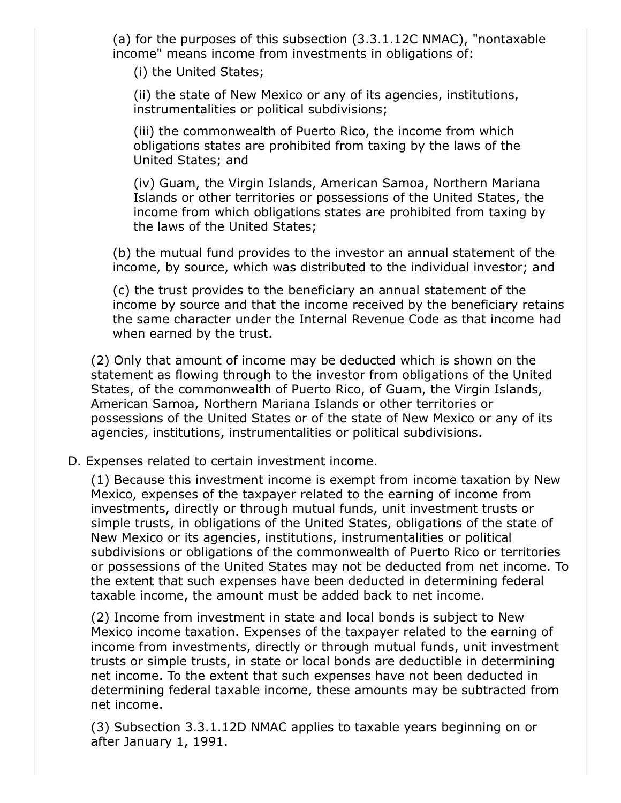(a) for the purposes of this subsection (3.3.1.12C NMAC), "nontaxable income" means income from investments in obligations of:

(i) the United States;

(ii) the state of New Mexico or any of its agencies, institutions, instrumentalities or political subdivisions;

(iii) the commonwealth of Puerto Rico, the income from which obligations states are prohibited from taxing by the laws of the United States; and

(iv) Guam, the Virgin Islands, American Samoa, Northern Mariana Islands or other territories or possessions of the United States, the income from which obligations states are prohibited from taxing by the laws of the United States;

(b) the mutual fund provides to the investor an annual statement of the income, by source, which was distributed to the individual investor; and

(c) the trust provides to the beneficiary an annual statement of the income by source and that the income received by the beneficiary retains the same character under the Internal Revenue Code as that income had when earned by the trust.

(2) Only that amount of income may be deducted which is shown on the statement as flowing through to the investor from obligations of the United States, of the commonwealth of Puerto Rico, of Guam, the Virgin Islands, American Samoa, Northern Mariana Islands or other territories or possessions of the United States or of the state of New Mexico or any of its agencies, institutions, instrumentalities or political subdivisions.

#### D. Expenses related to certain investment income.

(1) Because this investment income is exempt from income taxation by New Mexico, expenses of the taxpayer related to the earning of income from investments, directly or through mutual funds, unit investment trusts or simple trusts, in obligations of the United States, obligations of the state of New Mexico or its agencies, institutions, instrumentalities or political subdivisions or obligations of the commonwealth of Puerto Rico or territories or possessions of the United States may not be deducted from net income. To the extent that such expenses have been deducted in determining federal taxable income, the amount must be added back to net income.

(2) Income from investment in state and local bonds is subject to New Mexico income taxation. Expenses of the taxpayer related to the earning of income from investments, directly or through mutual funds, unit investment trusts or simple trusts, in state or local bonds are deductible in determining net income. To the extent that such expenses have not been deducted in determining federal taxable income, these amounts may be subtracted from net income.

(3) Subsection 3.3.1.12D NMAC applies to taxable years beginning on or after January 1, 1991.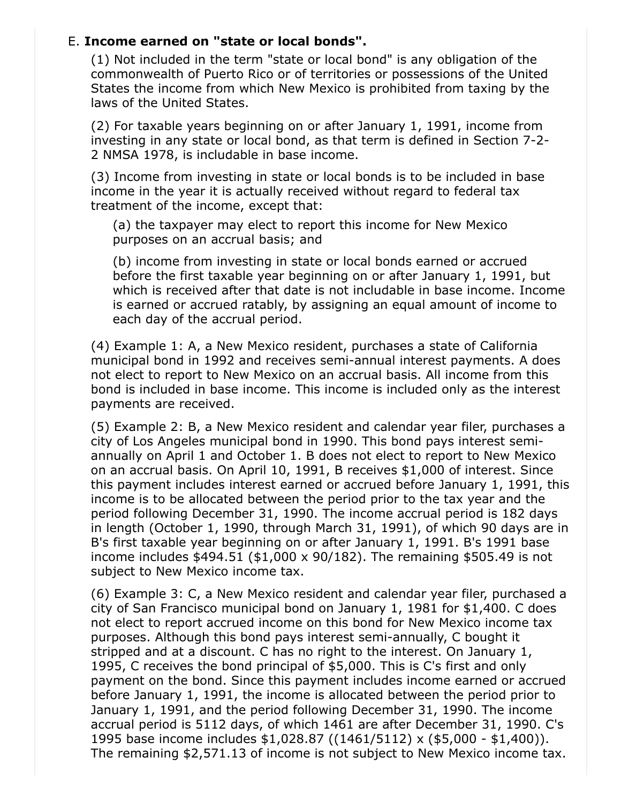## E. **Income earned on "state or local bonds".**

(1) Not included in the term "state or local bond" is any obligation of the commonwealth of Puerto Rico or of territories or possessions of the United States the income from which New Mexico is prohibited from taxing by the laws of the United States.

(2) For taxable years beginning on or after January 1, 1991, income from investing in any state or local bond, as that term is defined in Section 7-2- 2 NMSA 1978, is includable in base income.

(3) Income from investing in state or local bonds is to be included in base income in the year it is actually received without regard to federal tax treatment of the income, except that:

(a) the taxpayer may elect to report this income for New Mexico purposes on an accrual basis; and

(b) income from investing in state or local bonds earned or accrued before the first taxable year beginning on or after January 1, 1991, but which is received after that date is not includable in base income. Income is earned or accrued ratably, by assigning an equal amount of income to each day of the accrual period.

(4) Example 1: A, a New Mexico resident, purchases a state of California municipal bond in 1992 and receives semi-annual interest payments. A does not elect to report to New Mexico on an accrual basis. All income from this bond is included in base income. This income is included only as the interest payments are received.

(5) Example 2: B, a New Mexico resident and calendar year filer, purchases a city of Los Angeles municipal bond in 1990. This bond pays interest semiannually on April 1 and October 1. B does not elect to report to New Mexico on an accrual basis. On April 10, 1991, B receives \$1,000 of interest. Since this payment includes interest earned or accrued before January 1, 1991, this income is to be allocated between the period prior to the tax year and the period following December 31, 1990. The income accrual period is 182 days in length (October 1, 1990, through March 31, 1991), of which 90 days are in B's first taxable year beginning on or after January 1, 1991. B's 1991 base income includes \$494.51 (\$1,000 x 90/182). The remaining \$505.49 is not subject to New Mexico income tax.

(6) Example 3: C, a New Mexico resident and calendar year filer, purchased a city of San Francisco municipal bond on January 1, 1981 for \$1,400. C does not elect to report accrued income on this bond for New Mexico income tax purposes. Although this bond pays interest semi-annually, C bought it stripped and at a discount. C has no right to the interest. On January 1, 1995, C receives the bond principal of \$5,000. This is C's first and only payment on the bond. Since this payment includes income earned or accrued before January 1, 1991, the income is allocated between the period prior to January 1, 1991, and the period following December 31, 1990. The income accrual period is 5112 days, of which 1461 are after December 31, 1990. C's 1995 base income includes \$1,028.87 ((1461/5112) x (\$5,000 - \$1,400)). The remaining \$2,571.13 of income is not subject to New Mexico income tax.